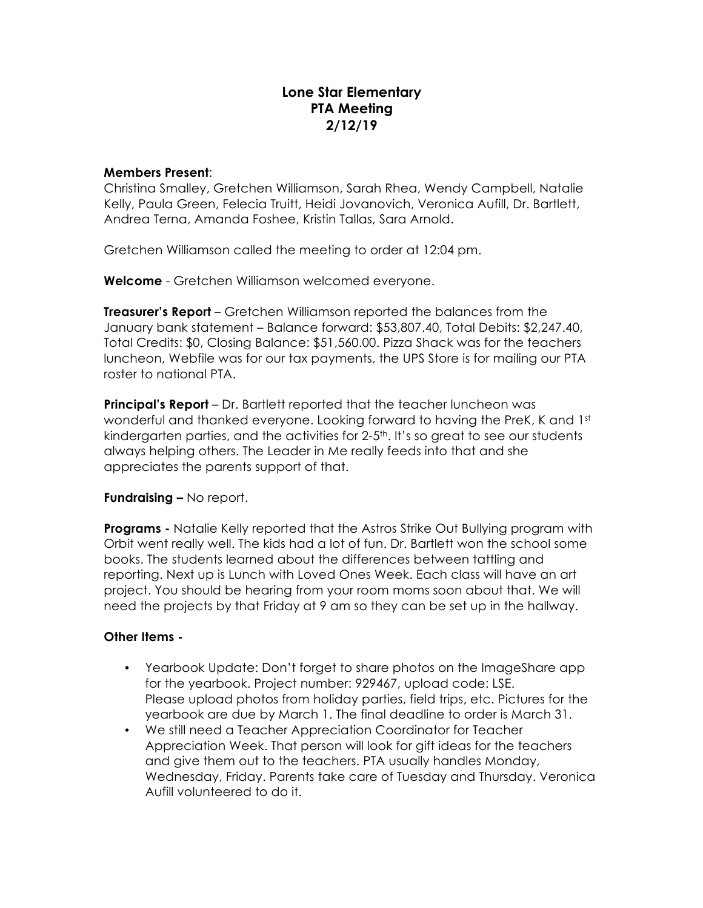# **Lone Star Elementary PTA Meeting 2/12/19**

#### **Members Present**:

Christina Smalley, Gretchen Williamson, Sarah Rhea, Wendy Campbell, Natalie Kelly, Paula Green, Felecia Truitt, Heidi Jovanovich, Veronica Aufill, Dr. Bartlett, Andrea Terna, Amanda Foshee, Kristin Tallas, Sara Arnold.

Gretchen Williamson called the meeting to order at 12:04 pm.

**Welcome** - Gretchen Williamson welcomed everyone.

**Treasurer's Report** – Gretchen Williamson reported the balances from the January bank statement – Balance forward: \$53,807.40, Total Debits: \$2,247.40, Total Credits: \$0, Closing Balance: \$51,560.00. Pizza Shack was for the teachers luncheon, Webfile was for our tax payments, the UPS Store is for mailing our PTA roster to national PTA.

**Principal's Report** – Dr. Bartlett reported that the teacher luncheon was wonderful and thanked everyone. Looking forward to having the PreK, K and 1st kindergarten parties, and the activities for  $2-5$ <sup>th</sup>. It's so great to see our students always helping others. The Leader in Me really feeds into that and she appreciates the parents support of that.

### **Fundraising –** No report.

**Programs -** Natalie Kelly reported that the Astros Strike Out Bullying program with Orbit went really well. The kids had a lot of fun. Dr. Bartlett won the school some books. The students learned about the differences between tattling and reporting. Next up is Lunch with Loved Ones Week. Each class will have an art project. You should be hearing from your room moms soon about that. We will need the projects by that Friday at 9 am so they can be set up in the hallway.

### **Other Items -**

- Yearbook Update: Don't forget to share photos on the ImageShare app for the yearbook. Project number: 929467, upload code: LSE. Please upload photos from holiday parties, field trips, etc. Pictures for the yearbook are due by March 1. The final deadline to order is March 31.
- We still need a Teacher Appreciation Coordinator for Teacher Appreciation Week. That person will look for gift ideas for the teachers and give them out to the teachers. PTA usually handles Monday, Wednesday, Friday. Parents take care of Tuesday and Thursday. Veronica Aufill volunteered to do it.